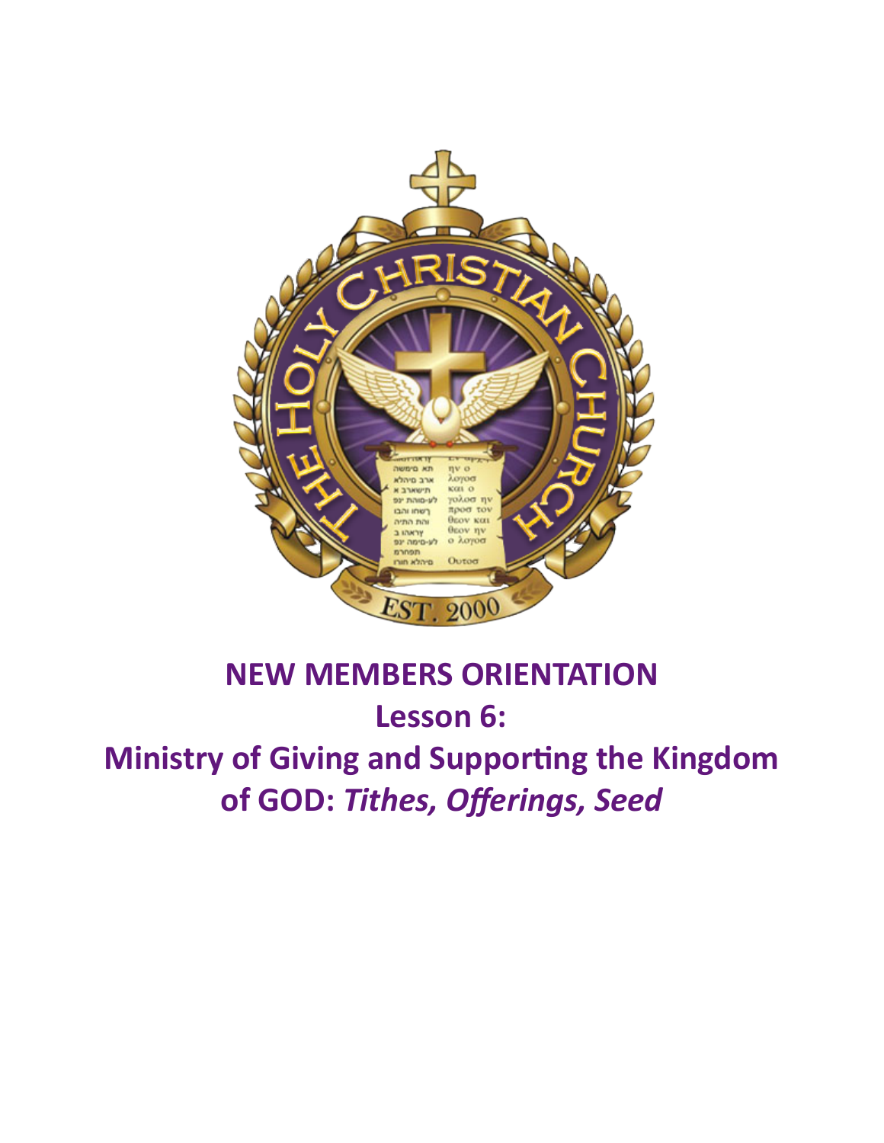

# **NEW MEMBERS ORIENTATION** Lesson 6: **Ministry of Giving and Supporting the Kingdom** of GOD: Tithes, Offerings, Seed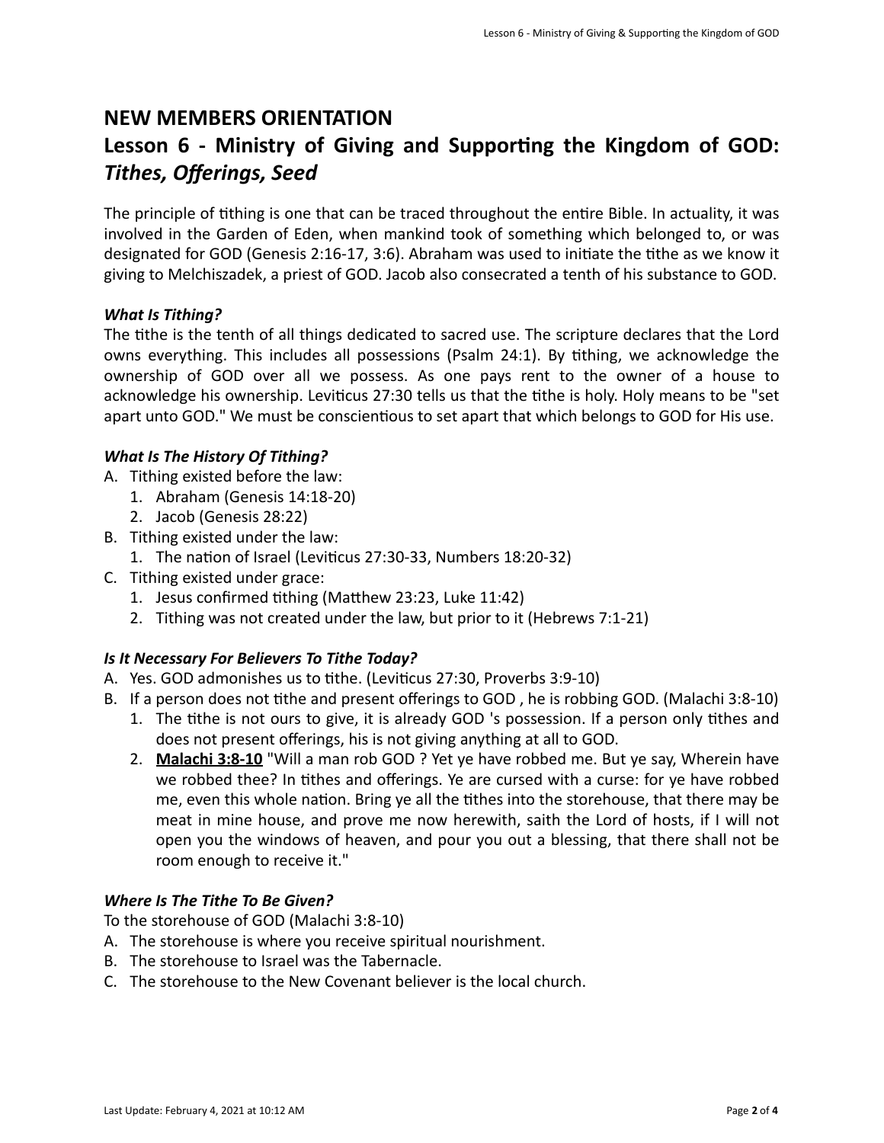### **NEW MEMBERS ORIENTATION**

## Lesson 6 - Ministry of Giving and Supporting the Kingdom of GOD: *Tithes, Offerings, Seed*

The principle of tithing is one that can be traced throughout the entire Bible. In actuality, it was involved in the Garden of Eden, when mankind took of something which belonged to, or was designated for GOD (Genesis 2:16-17, 3:6). Abraham was used to initiate the tithe as we know it giving to Melchiszadek, a priest of GOD. Jacob also consecrated a tenth of his substance to GOD.

#### **What Is Tithing?**

The tithe is the tenth of all things dedicated to sacred use. The scripture declares that the Lord owns everything. This includes all possessions (Psalm 24:1). By tithing, we acknowledge the ownership of GOD over all we possess. As one pays rent to the owner of a house to acknowledge his ownership. Leviticus 27:30 tells us that the tithe is holy. Holy means to be "set apart unto GOD." We must be conscientious to set apart that which belongs to GOD for His use.

#### *What Is The History Of Tithing?*

- A. Tithing existed before the law:
	- 1. Abraham (Genesis 14:18-20)
	- 2. Jacob (Genesis 28:22)
- B. Tithing existed under the law:
	- 1. The nation of Israel (Leviticus 27:30-33, Numbers 18:20-32)
- C. Tithing existed under grace:
	- 1. Jesus confirmed tithing (Matthew 23:23, Luke 11:42)
	- 2. Tithing was not created under the law, but prior to it (Hebrews 7:1-21)

#### **Is It Necessary For Believers To Tithe Today?**

- A. Yes. GOD admonishes us to tithe. (Leviticus 27:30, Proverbs 3:9-10)
- B. If a person does not tithe and present offerings to GOD, he is robbing GOD. (Malachi 3:8-10)
	- 1. The tithe is not ours to give, it is already GOD 's possession. If a person only tithes and does not present offerings, his is not giving anything at all to GOD.
	- 2. **Malachi 3:8-10** "Will a man rob GOD ? Yet ye have robbed me. But ye say, Wherein have we robbed thee? In tithes and offerings. Ye are cursed with a curse: for ye have robbed me, even this whole nation. Bring ye all the tithes into the storehouse, that there may be meat in mine house, and prove me now herewith, saith the Lord of hosts, if I will not open you the windows of heaven, and pour you out a blessing, that there shall not be room enough to receive it."

#### *Where Is The Tithe To Be Given?*

To the storehouse of GOD (Malachi 3:8-10)

- A. The storehouse is where you receive spiritual nourishment.
- B. The storehouse to Israel was the Tabernacle.
- C. The storehouse to the New Covenant believer is the local church.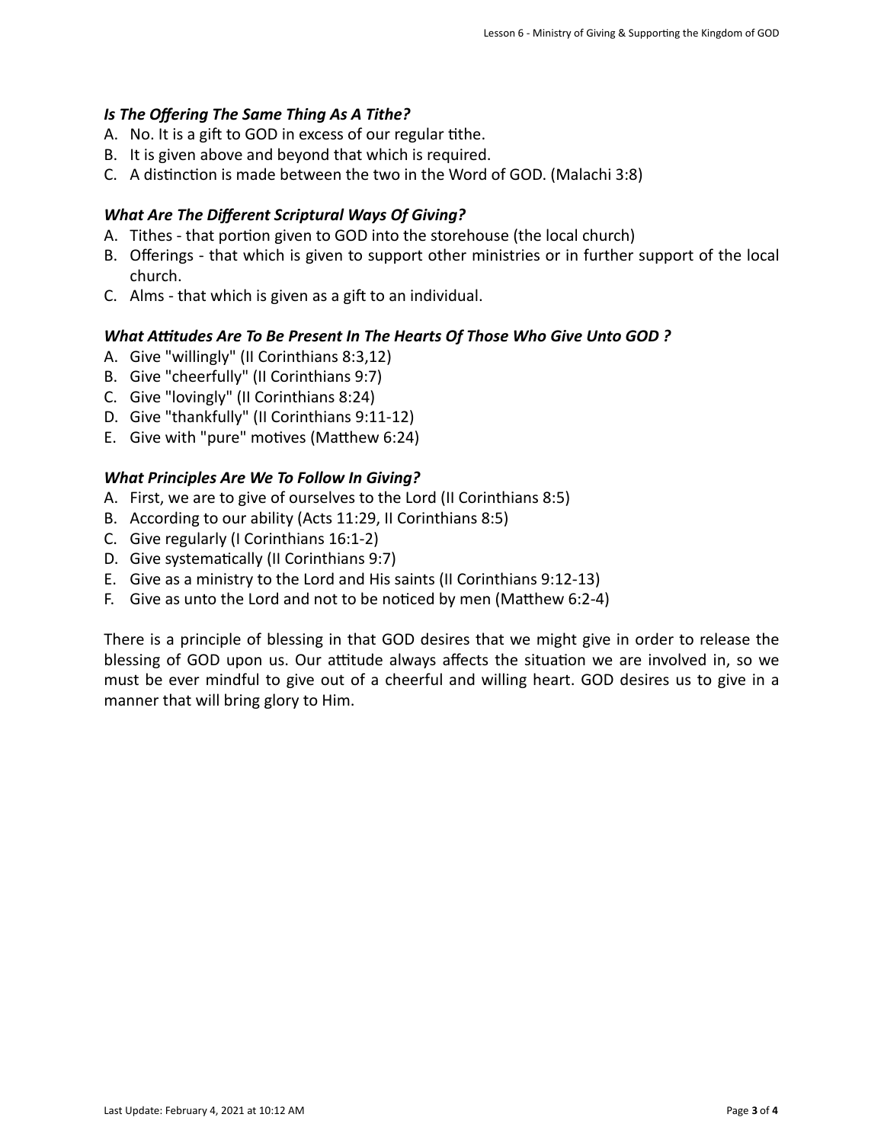#### *Is* The Offering The Same Thing As A Tithe?

- A. No. It is a gift to GOD in excess of our regular tithe.
- B. It is given above and beyond that which is required.
- C. A distinction is made between the two in the Word of GOD. (Malachi 3:8)

#### **What Are The Different Scriptural Ways Of Giving?**

- A. Tithes that portion given to GOD into the storehouse (the local church)
- B. Offerings that which is given to support other ministries or in further support of the local church.
- C. Alms that which is given as a gift to an individual.

#### What Attitudes Are To Be Present In The Hearts Of Those Who Give Unto GOD?

- A. Give "willingly" (II Corinthians 8:3,12)
- B. Give "cheerfully" (II Corinthians 9:7)
- C. Give "lovingly" (II Corinthians 8:24)
- D. Give "thankfully" (II Corinthians 9:11-12)
- E. Give with "pure" motives (Matthew 6:24)

#### **What Principles Are We To Follow In Giving?**

- A. First, we are to give of ourselves to the Lord (II Corinthians 8:5)
- B. According to our ability (Acts 11:29, II Corinthians 8:5)
- C. Give regularly (I Corinthians 16:1-2)
- D. Give systematically (II Corinthians 9:7)
- E. Give as a ministry to the Lord and His saints (II Corinthians 9:12-13)
- F. Give as unto the Lord and not to be noticed by men (Matthew 6:2-4)

There is a principle of blessing in that GOD desires that we might give in order to release the blessing of GOD upon us. Our attitude always affects the situation we are involved in, so we must be ever mindful to give out of a cheerful and willing heart. GOD desires us to give in a manner that will bring glory to Him.